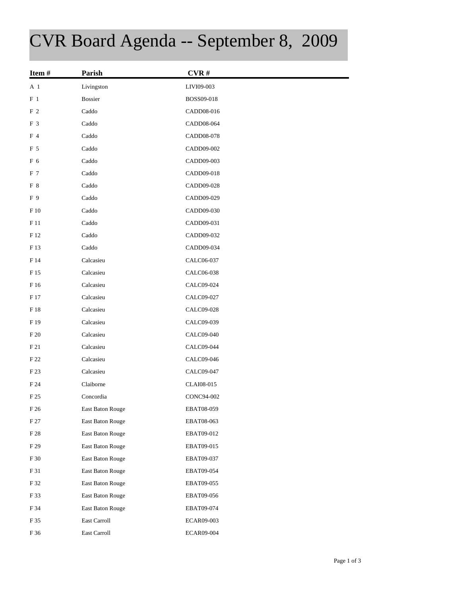## CVR Board Agenda -- September 8, 2009

| Item#          | Parish           | CVR#              |
|----------------|------------------|-------------------|
| A 1            | Livingston       | LIVI09-003        |
| $F_1$          | <b>Bossier</b>   | BOSS09-018        |
| F <sub>2</sub> | Caddo            | CADD08-016        |
| F 3            | Caddo            | CADD08-064        |
| F 4            | Caddo            | CADD08-078        |
| F 5            | Caddo            | CADD09-002        |
| F 6            | Caddo            | CADD09-003        |
| F 7            | Caddo            | CADD09-018        |
| F 8            | Caddo            | CADD09-028        |
| F 9            | Caddo            | CADD09-029        |
| F 10           | Caddo            | CADD09-030        |
| F 11           | Caddo            | CADD09-031        |
| F 12           | Caddo            | CADD09-032        |
| F 13           | Caddo            | CADD09-034        |
| F 14           | Calcasieu        | CALC06-037        |
| F 15           | Calcasieu        | CALC06-038        |
| F 16           | Calcasieu        | CALC09-024        |
| F 17           | Calcasieu        | CALC09-027        |
| $\rm F$ 18     | Calcasieu        | CALC09-028        |
| F 19           | Calcasieu        | CALC09-039        |
| F 20           | Calcasieu        | CALC09-040        |
| F 21           | Calcasieu        | CALC09-044        |
| F 22           | Calcasieu        | CALC09-046        |
| F 23           | Calcasieu        | CALC09-047        |
| F 24           | Claiborne        | CLAI08-015        |
| F 25           | Concordia        | CONC94-002        |
| F 26           | East Baton Rouge | EBAT08-059        |
| F 27           | East Baton Rouge | EBAT08-063        |
| $\rm F~28$     | East Baton Rouge | EBAT09-012        |
| F 29           | East Baton Rouge | EBAT09-015        |
| $\rm F$ 30     | East Baton Rouge | EBAT09-037        |
| F 31           | East Baton Rouge | EBAT09-054        |
| F 32           | East Baton Rouge | EBAT09-055        |
| F 33           | East Baton Rouge | EBAT09-056        |
| F 34           | East Baton Rouge | EBAT09-074        |
| F 35           | East Carroll     | ECAR09-003        |
| F 36           | East Carroll     | <b>ECAR09-004</b> |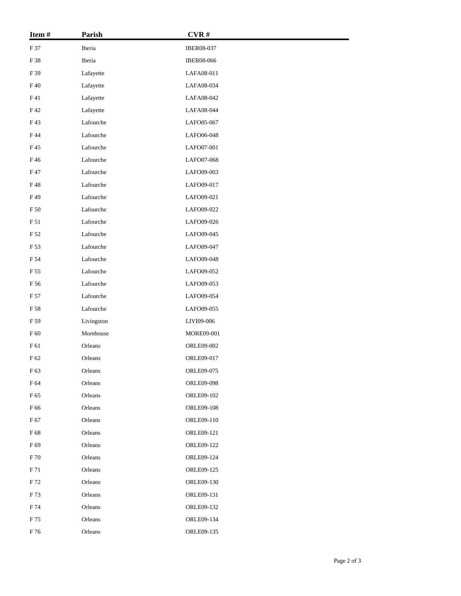| Item#           | Parish             | CVR#              |  |
|-----------------|--------------------|-------------------|--|
| F 37            | Iberia             | IBER08-037        |  |
| F 38            | Iberia             | <b>IBER08-066</b> |  |
| F 39            | Lafayette          | LAFA08-011        |  |
| F40             | Lafayette          | LAFA08-034        |  |
| F41             | Lafayette          | LAFA08-042        |  |
| F42             | Lafayette          | LAFA08-044        |  |
| F43             | Lafourche          | LAFO05-067        |  |
| F 44            | Lafourche          | LAFO06-048        |  |
| F 45            | Lafourche          | LAFO07-001        |  |
| F46             | Lafourche          | LAFO07-068        |  |
| F 47            | Lafourche          | LAFO09-003        |  |
| F48             | Lafourche          | LAFO09-017        |  |
| F49             | Lafourche          | LAFO09-021        |  |
| F 50            | Lafourche          | LAFO09-022        |  |
| F 51            | Lafourche          | LAFO09-026        |  |
| F 52            | Lafourche          | LAFO09-045        |  |
| F 53            | ${\rm La fourche}$ | LAFO09-047        |  |
| F 54            | Lafourche          | LAFO09-048        |  |
| F 55            | Lafourche          | LAFO09-052        |  |
| F 56            | Lafourche          | LAFO09-053        |  |
| F 57            | Lafourche          | LAFO09-054        |  |
| F 58            | Lafourche          | LAFO09-055        |  |
| F 59            | Livingston         | LIVI09-006        |  |
| F 60            | Morehouse          | MORE09-001        |  |
| $\rm F$ 61      | Orleans            | ORLE09-002        |  |
| F 62            | Orleans            | ORLE09-017        |  |
| F <sub>63</sub> | Orleans            | ORLE09-075        |  |
| F 64            | Orleans            | ORLE09-098        |  |
| F 65            | Orleans            | ORLE09-102        |  |
| F 66            | Orleans            | <b>ORLE09-108</b> |  |
| F 67            | Orleans            | ORLE09-110        |  |
| F 68            | Orleans            | ORLE09-121        |  |
| F 69            | Orleans            | ORLE09-122        |  |
| F 70            | Orleans            | ORLE09-124        |  |
| F 71            | Orleans            | ORLE09-125        |  |
| F 72            | Orleans            | ORLE09-130        |  |
| F 73            | Orleans            | ORLE09-131        |  |
| F 74            | Orleans            | ORLE09-132        |  |
| F 75            | Orleans            | ORLE09-134        |  |
| F 76            | Orleans            | ORLE09-135        |  |